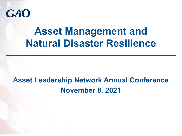

# **Asset Management and Natural Disaster Resilience**

## **Asset Leadership Network Annual Conference November 8, 2021**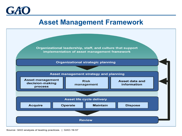

#### **Asset Management Framework**



Source: GAO analysis of leading practices. | GAO-19-57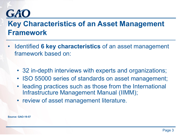## GAO

### **Key Characteristics of an Asset Management Framework**

- Identified **6 key characteristics** of an asset management framework based on:
	- 32 in-depth interviews with experts and organizations;
	- ISO 55000 series of standards on asset management;
	- leading practices such as those from the International Infrastructure Management Manual (IIMM);
	- review of asset management literature.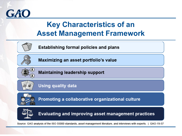

### **Key Characteristics of an Asset Management Framework**



**Establishing formal policies and plans** 



Maximizing an asset portfolio's value



**Maintaining leadership support** 



**Using quality data** 



Promoting a collaborative organizational culture



Evaluating and improving asset management practices

Source: GAO analysis of the ISO 55000 standards, asset management literature, and interviews with experts. | GAO-19-57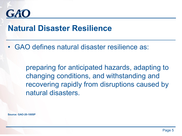

#### **Natural Disaster Resilience**

• GAO defines natural disaster resilience as:

preparing for anticipated hazards, adapting to changing conditions, and withstanding and recovering rapidly from disruptions caused by natural disasters.

**Source: GAO-20-100SP**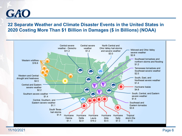

#### **22 Separate Weather and Climate Disaster Events in the United States in 2020 Costing More Than \$1 Billion in Damages (\$ in Billions) (NOAA)**

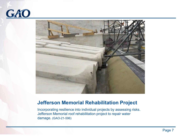



#### **Jefferson Memorial Rehabilitation Project**

Incorporating resilience into individual projects by assessing risks. Jefferson Memorial roof rehabilitation project to repair water damage. (GAO-21-596)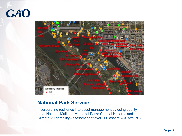



#### **National Park Service**

Incorporating resilience into asset management by using quality data. National Mall and Memorial Parks Coastal Hazards and Climate Vulnerability Assessment of over 200 assets. (GAO-21-596)